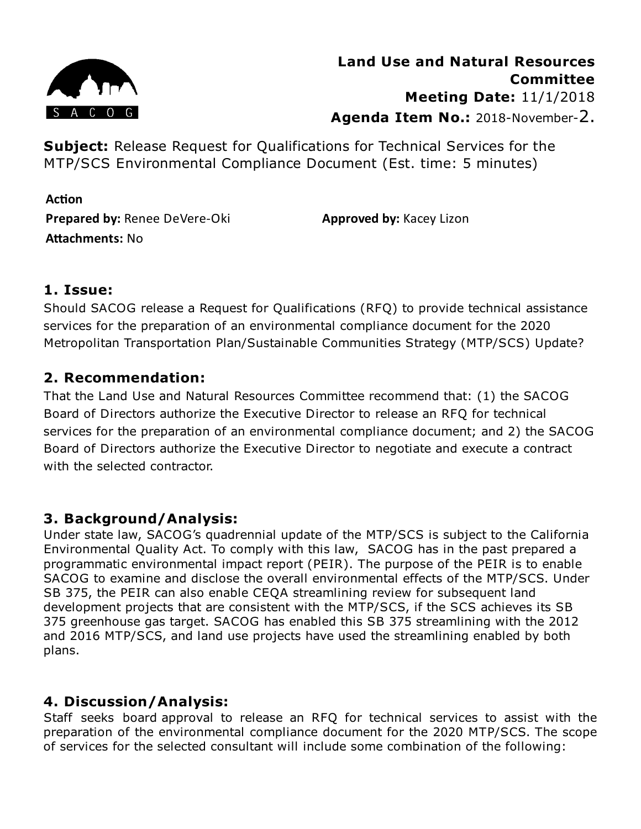

**Subject:** Release Request for Qualifications for Technical Services for the MTP/SCS Environmental Compliance Document (Est. time: 5 minutes)

**Action Prepared by:** Renee DeVere-Oki **Attachments: No** 

**Approved by:** Kacey Lizon

#### **1. Issue:**

Should SACOG release a Request for Qualifications (RFQ) to provide technical assistance services for the preparation of an environmental compliance document for the 2020 Metropolitan Transportation Plan/Sustainable Communities Strategy (MTP/SCS) Update?

## **2. Recommendation:**

That the Land Use and Natural Resources Committee recommend that: (1) the SACOG Board of Directors authorize the Executive Director to release an RFQ for technical services for the preparation of an environmental compliance document; and 2) the SACOG Board of Directors authorize the Executive Director to negotiate and execute a contract with the selected contractor.

## **3. Background/Analysis:**

Under state law, SACOG's quadrennial update of the MTP/SCS is subject to the California Environmental Quality Act. To comply with this law, SACOG has in the past prepared a programmatic environmental impact report (PEIR). The purpose of the PEIR is to enable SACOG to examine and disclose the overall environmental effects of the MTP/SCS. Under SB 375, the PEIR can also enable CEQA streamlining review for subsequent land development projects that are consistent with the MTP/SCS, if the SCS achieves its SB 375 greenhouse gas target. SACOG has enabled this SB 375 streamlining with the 2012 and 2016 MTP/SCS, and land use projects have used the streamlining enabled by both plans.

## **4. Discussion/Analysis:**

Staff seeks board approval to release an RFQ for technical services to assist with the preparation of the environmental compliance document for the 2020 MTP/SCS. The scope of services for the selected consultant will include some combination of the following: